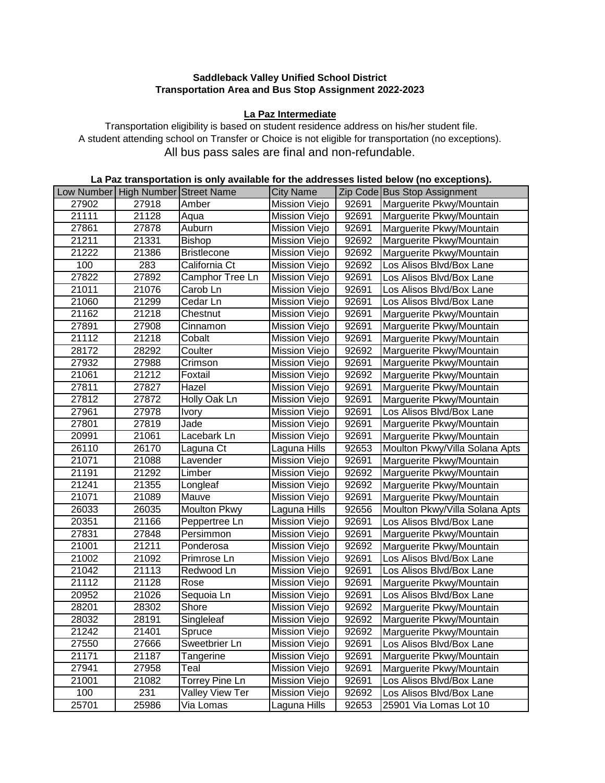## **Saddleback Valley Unified School District Transportation Area and Bus Stop Assignment 2022-2023**

## **La Paz Intermediate**

Transportation eligibility is based on student residence address on his/her student file. A student attending school on Transfer or Choice is not eligible for transportation (no exceptions). All bus pass sales are final and non-refundable.

| La Paz transportation is only available for the addresses listed below (no exceptions). |                         |                    |                      |       |                                |  |  |
|-----------------------------------------------------------------------------------------|-------------------------|--------------------|----------------------|-------|--------------------------------|--|--|
| ow Number                                                                               | High Number Street Name |                    | <b>City Name</b>     |       | Zip Code Bus Stop Assignment   |  |  |
| 27902                                                                                   | 27918                   | Amber              | Mission Viejo        | 92691 | Marguerite Pkwy/Mountain       |  |  |
| 21111                                                                                   | 21128                   | Aqua               | Mission Viejo        | 92691 | Marguerite Pkwy/Mountain       |  |  |
| 27861                                                                                   | 27878                   | Auburn             | Mission Viejo        | 92691 | Marguerite Pkwy/Mountain       |  |  |
| 21211                                                                                   | 21331                   | Bishop             | Mission Viejo        | 92692 | Marguerite Pkwy/Mountain       |  |  |
| 21222                                                                                   | 21386                   | <b>Bristlecone</b> | Mission Viejo        | 92692 | Marguerite Pkwy/Mountain       |  |  |
| 100                                                                                     | 283                     | California Ct      | Mission Viejo        | 92692 | Los Alisos Blvd/Box Lane       |  |  |
| 27822                                                                                   | 27892                   | Camphor Tree Ln    | Mission Viejo        | 92691 | Los Alisos Blvd/Box Lane       |  |  |
| 21011                                                                                   | 21076                   | Carob Ln           | Mission Viejo        | 92691 | Los Alisos Blvd/Box Lane       |  |  |
| 21060                                                                                   | 21299                   | Cedar Ln           | Mission Viejo        | 92691 | Los Alisos Blvd/Box Lane       |  |  |
| 21162                                                                                   | 21218                   | Chestnut           | Mission Viejo        | 92691 | Marguerite Pkwy/Mountain       |  |  |
| 27891                                                                                   | 27908                   | Cinnamon           | Mission Viejo        | 92691 | Marguerite Pkwy/Mountain       |  |  |
| 21112                                                                                   | 21218                   | Cobalt             | Mission Viejo        | 92691 | Marguerite Pkwy/Mountain       |  |  |
| 28172                                                                                   | 28292                   | Coulter            | Mission Viejo        | 92692 | Marguerite Pkwy/Mountain       |  |  |
| 27932                                                                                   | 27988                   | Crimson            | Mission Viejo        | 92691 | Marguerite Pkwy/Mountain       |  |  |
| 21061                                                                                   | 21212                   | Foxtail            | Mission Viejo        | 92692 | Marguerite Pkwy/Mountain       |  |  |
| 27811                                                                                   | 27827                   | Hazel              | Mission Viejo        | 92691 | Marguerite Pkwy/Mountain       |  |  |
| 27812                                                                                   | 27872                   | Holly Oak Ln       | Mission Viejo        | 92691 | Marguerite Pkwy/Mountain       |  |  |
| 27961                                                                                   | 27978                   | <b>Ivory</b>       | Mission Viejo        | 92691 | Los Alisos Blvd/Box Lane       |  |  |
| 27801                                                                                   | 27819                   | Jade               | Mission Viejo        | 92691 | Marguerite Pkwy/Mountain       |  |  |
| 20991                                                                                   | 21061                   | Lacebark Ln        | Mission Viejo        | 92691 | Marguerite Pkwy/Mountain       |  |  |
| 26110                                                                                   | 26170                   | Laguna Ct          | Laguna Hills         | 92653 | Moulton Pkwy/Villa Solana Apts |  |  |
| 21071                                                                                   | 21088                   | Lavender           | Mission Viejo        | 92691 | Marguerite Pkwy/Mountain       |  |  |
| 21191                                                                                   | 21292                   | Limber             | Mission Viejo        | 92692 | Marguerite Pkwy/Mountain       |  |  |
| 21241                                                                                   | 21355                   | Longleaf           | Mission Viejo        | 92692 | Marguerite Pkwy/Mountain       |  |  |
| 21071                                                                                   | 21089                   | Mauve              | Mission Viejo        | 92691 | Marguerite Pkwy/Mountain       |  |  |
| 26033                                                                                   | 26035                   | Moulton Pkwy       | Laguna Hills         | 92656 | Moulton Pkwy/Villa Solana Apts |  |  |
| 20351                                                                                   | 21166                   | Peppertree Ln      | Mission Viejo        | 92691 | Los Alisos Blvd/Box Lane       |  |  |
| 27831                                                                                   | 27848                   | Persimmon          | Mission Viejo        | 92691 | Marguerite Pkwy/Mountain       |  |  |
| 21001                                                                                   | 21211                   | Ponderosa          | Mission Viejo        | 92692 | Marguerite Pkwy/Mountain       |  |  |
| 21002                                                                                   | 21092                   | Primrose Ln        | Mission Viejo        | 92691 | Los Alisos Blvd/Box Lane       |  |  |
| 21042                                                                                   | 21113                   | Redwood Ln         | Mission Viejo        | 92691 | Los Alisos Blvd/Box Lane       |  |  |
| 21112                                                                                   | 21128                   | Rose               | Mission Viejo        | 92691 | Marguerite Pkwy/Mountain       |  |  |
| 20952                                                                                   | 21026                   | Sequoia Ln         | Mission Viejo        | 92691 | Los Alisos Blvd/Box Lane       |  |  |
| 28201                                                                                   | 28302                   | Shore              | <b>Mission Viejo</b> | 92692 | Marguerite Pkwy/Mountain       |  |  |
| 28032                                                                                   | 28191                   | Singleleaf         | Mission Viejo        | 92692 | Marguerite Pkwy/Mountain       |  |  |
| 21242                                                                                   | 21401                   | Spruce             | Mission Viejo        | 92692 | Marguerite Pkwy/Mountain       |  |  |
| 27550                                                                                   | 27666                   | Sweetbrier Ln      | Mission Viejo        | 92691 | Los Alisos Blvd/Box Lane       |  |  |
| 21171                                                                                   | 21187                   | Tangerine          | Mission Viejo        | 92691 | Marguerite Pkwy/Mountain       |  |  |
| 27941                                                                                   | 27958                   | Teal               | Mission Viejo        | 92691 | Marguerite Pkwy/Mountain       |  |  |
| 21001                                                                                   | 21082                   | Torrey Pine Ln     | Mission Viejo        | 92691 | Los Alisos Blvd/Box Lane       |  |  |
| 100                                                                                     | 231                     | Valley View Ter    | Mission Viejo        | 92692 | Los Alisos Blvd/Box Lane       |  |  |
| 25701                                                                                   | 25986                   | Via Lomas          | Laguna Hills         | 92653 | 25901 Via Lomas Lot 10         |  |  |